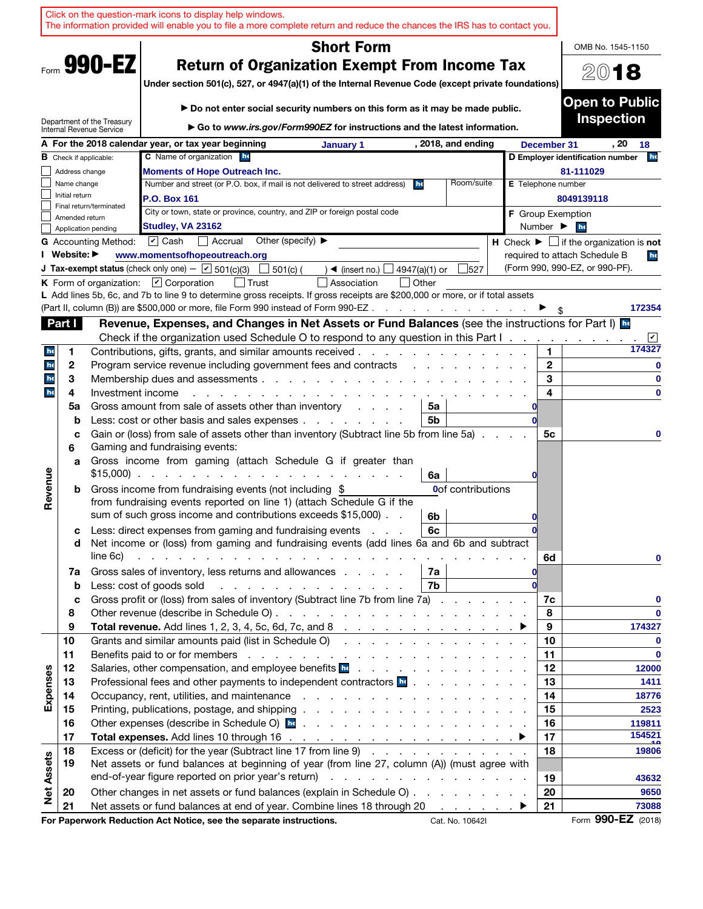|                   |                  |                               | Click on the question-mark icons to display help windows.<br>The information provided will enable you to file a more complete return and reduce the chances the IRS has to contact you.                                                                                                                                                            |                           |                              |                                                                               |
|-------------------|------------------|-------------------------------|----------------------------------------------------------------------------------------------------------------------------------------------------------------------------------------------------------------------------------------------------------------------------------------------------------------------------------------------------|---------------------------|------------------------------|-------------------------------------------------------------------------------|
|                   |                  |                               | <b>Short Form</b>                                                                                                                                                                                                                                                                                                                                  |                           |                              | OMB No. 1545-1150                                                             |
|                   |                  | Form 990-EZ                   | <b>Return of Organization Exempt From Income Tax</b>                                                                                                                                                                                                                                                                                               |                           |                              |                                                                               |
|                   |                  |                               | Under section 501(c), 527, or 4947(a)(1) of the Internal Revenue Code (except private foundations)                                                                                                                                                                                                                                                 |                           |                              | 2018                                                                          |
|                   |                  |                               |                                                                                                                                                                                                                                                                                                                                                    |                           |                              | <b>Open to Public</b>                                                         |
|                   |                  | Department of the Treasury    | Do not enter social security numbers on this form as it may be made public.                                                                                                                                                                                                                                                                        |                           |                              | <b>Inspection</b>                                                             |
|                   |                  | Internal Revenue Service      | Go to www.irs.gov/Form990EZ for instructions and the latest information.                                                                                                                                                                                                                                                                           |                           |                              |                                                                               |
|                   |                  |                               | A For the 2018 calendar year, or tax year beginning<br>, 2018, and ending<br>January 1<br><b>C</b> Name of organization he                                                                                                                                                                                                                         |                           | December 31                  | . 20<br>18<br>he<br>D Employer identification number                          |
|                   | Address change   | <b>B</b> Check if applicable: | <b>Moments of Hope Outreach Inc.</b>                                                                                                                                                                                                                                                                                                               |                           |                              | 81-111029                                                                     |
|                   | Name change      |                               | Number and street (or P.O. box, if mail is not delivered to street address)<br>Room/suite<br>he                                                                                                                                                                                                                                                    | <b>E</b> Telephone number |                              |                                                                               |
|                   | Initial return   |                               | P.O. Box 161                                                                                                                                                                                                                                                                                                                                       |                           |                              | 8049139118                                                                    |
|                   | Amended return   | Final return/terminated       | City or town, state or province, country, and ZIP or foreign postal code                                                                                                                                                                                                                                                                           |                           |                              | <b>F</b> Group Exemption                                                      |
|                   |                  | Application pending           | Studley, VA 23162                                                                                                                                                                                                                                                                                                                                  |                           | Number $\blacktriangleright$ | he                                                                            |
|                   |                  | <b>G</b> Accounting Method:   | $\triangleright$ Cash<br>Other (specify) $\blacktriangleright$<br>Accrual                                                                                                                                                                                                                                                                          |                           |                              | <b>H</b> Check $\blacktriangleright$ $\Box$ if the organization is <b>not</b> |
|                   | I Website: ▶     |                               | www.momentsofhopeoutreach.org<br><b>J Tax-exempt status</b> (check only one) - $\boxed{\mathbf{v}}$ 501(c)(3)<br>$501(c)$ (                                                                                                                                                                                                                        |                           |                              | required to attach Schedule B<br>he<br>(Form 990, 990-EZ, or 990-PF).         |
|                   |                  |                               | $\rightarrow$ (insert no.)<br>4947(a)(1) or<br>527<br>K Form of organization: $\boxed{V}$ Corporation<br>Association<br>  Other                                                                                                                                                                                                                    |                           |                              |                                                                               |
|                   |                  |                               | L Add lines 5b, 6c, and 7b to line 9 to determine gross receipts. If gross receipts are \$200,000 or more, or if total assets                                                                                                                                                                                                                      |                           |                              |                                                                               |
|                   |                  |                               | (Part II, column (B)) are \$500,000 or more, file Form 990 instead of Form 990-EZ.<br>the contract of the contract of the con-                                                                                                                                                                                                                     |                           |                              | 172354                                                                        |
|                   | Part I           |                               | Revenue, Expenses, and Changes in Net Assets or Fund Balances (see the instructions for Part I) In                                                                                                                                                                                                                                                 |                           |                              |                                                                               |
|                   |                  |                               | Check if the organization used Schedule O to respond to any question in this Part I.                                                                                                                                                                                                                                                               |                           |                              | ⊻                                                                             |
| he                | 1                |                               | Contributions, gifts, grants, and similar amounts received.                                                                                                                                                                                                                                                                                        |                           | 1.                           | 174327                                                                        |
| he                | 2                |                               | Program service revenue including government fees and contracts                                                                                                                                                                                                                                                                                    |                           | $\mathbf{2}$                 | 0                                                                             |
| he<br>he          | 3<br>4           | Investment income             | Membership dues and assessments.<br><u>and a straight and a straight and</u>                                                                                                                                                                                                                                                                       |                           | 3<br>$\overline{\mathbf{4}}$ | $\bf{0}$<br>$\bf{0}$                                                          |
|                   | 5a               |                               | Gross amount from sale of assets other than inventory<br>5a                                                                                                                                                                                                                                                                                        |                           |                              |                                                                               |
|                   | b                |                               | Less: cost or other basis and sales expenses<br>5b                                                                                                                                                                                                                                                                                                 |                           |                              |                                                                               |
|                   | c                |                               | Gain or (loss) from sale of assets other than inventory (Subtract line 5b from line 5a).                                                                                                                                                                                                                                                           |                           | 5с                           | 0                                                                             |
|                   | 6                |                               | Gaming and fundraising events:                                                                                                                                                                                                                                                                                                                     |                           |                              |                                                                               |
|                   | a                |                               | Gross income from gaming (attach Schedule G if greater than                                                                                                                                                                                                                                                                                        |                           |                              |                                                                               |
| Revenue           |                  |                               | $$15,000$<br>6a                                                                                                                                                                                                                                                                                                                                    |                           |                              |                                                                               |
|                   | b                |                               | Gross income from fundraising events (not including \$<br>Oof contributions<br>from fundraising events reported on line 1) (attach Schedule G if the                                                                                                                                                                                               |                           |                              |                                                                               |
|                   |                  |                               | sum of such gross income and contributions exceeds \$15,000).<br>6b                                                                                                                                                                                                                                                                                |                           |                              |                                                                               |
|                   | с                |                               | Less: direct expenses from gaming and fundraising events<br>6с                                                                                                                                                                                                                                                                                     |                           |                              |                                                                               |
|                   | d                |                               | Net income or (loss) from gaming and fundraising events (add lines 6a and 6b and subtract                                                                                                                                                                                                                                                          |                           |                              |                                                                               |
|                   |                  | line 6c)                      | the contract of the contract of the contract of the contract of the contract of                                                                                                                                                                                                                                                                    |                           | 6d                           | 0                                                                             |
|                   | 7a               |                               | Gross sales of inventory, less returns and allowances<br>7a                                                                                                                                                                                                                                                                                        |                           |                              |                                                                               |
|                   | $\mathbf b$<br>c |                               | 7b<br>Less: cost of goods sold<br>and the contract of the contract of the contract of the contract of the contract of the contract of the contract of the contract of the contract of the contract of the contract of the contract of the contract of the contra<br>Gross profit or (loss) from sales of inventory (Subtract line 7b from line 7a) |                           | 7c                           | 0                                                                             |
|                   | 8                |                               |                                                                                                                                                                                                                                                                                                                                                    |                           | 8                            |                                                                               |
|                   | 9                |                               |                                                                                                                                                                                                                                                                                                                                                    |                           | 9                            | 174327                                                                        |
|                   | 10               |                               | Grants and similar amounts paid (list in Schedule O)                                                                                                                                                                                                                                                                                               |                           | 10                           | 0                                                                             |
|                   | 11               |                               |                                                                                                                                                                                                                                                                                                                                                    |                           | 11                           | $\mathbf{0}$                                                                  |
|                   | 12               |                               | Salaries, other compensation, and employee benefits <b>beter as a contract of the salaries</b> , other compensation, and employee benefits <b>beter as a contract of the contract of the salar</b>                                                                                                                                                 |                           | 12                           | 12000                                                                         |
|                   | 13               |                               | Professional fees and other payments to independent contractors <b>be</b>                                                                                                                                                                                                                                                                          |                           | 13                           | 1411                                                                          |
| Expenses          | 14<br>15         |                               | Occupancy, rent, utilities, and maintenance response to the contract of the contract of the contract of the contract of the contract of the contract of the contract of the contract of the contract of the contract of the co                                                                                                                     |                           | 14<br>15                     | 18776<br>2523                                                                 |
|                   | 16               |                               | Other expenses (describe in Schedule O) <b>hence</b> is a contract to contract the contract of the contract of the contract of the contract of the contract of the contract of the contract of the contract of the contract of the                                                                                                                 |                           | 16                           | 119811                                                                        |
|                   | 17               |                               |                                                                                                                                                                                                                                                                                                                                                    |                           | 17                           | 154521                                                                        |
|                   | 18               |                               | Excess or (deficit) for the year (Subtract line 17 from line 9)                                                                                                                                                                                                                                                                                    |                           | 18                           | 19806                                                                         |
|                   | 19               |                               | Net assets or fund balances at beginning of year (from line 27, column (A)) (must agree with                                                                                                                                                                                                                                                       |                           |                              |                                                                               |
|                   |                  |                               |                                                                                                                                                                                                                                                                                                                                                    |                           | 19                           | 43632                                                                         |
| <b>Net Assets</b> | 20               |                               | Other changes in net assets or fund balances (explain in Schedule O)                                                                                                                                                                                                                                                                               |                           | 20                           | 9650                                                                          |
|                   | 21               |                               | Net assets or fund balances at end of year. Combine lines 18 through 20 ▶                                                                                                                                                                                                                                                                          |                           | 21                           | 73088<br>Form 990-EZ (2018)                                                   |
|                   |                  |                               | For Paperwork Reduction Act Notice, see the separate instructions.<br>Cat. No. 10642I                                                                                                                                                                                                                                                              |                           |                              |                                                                               |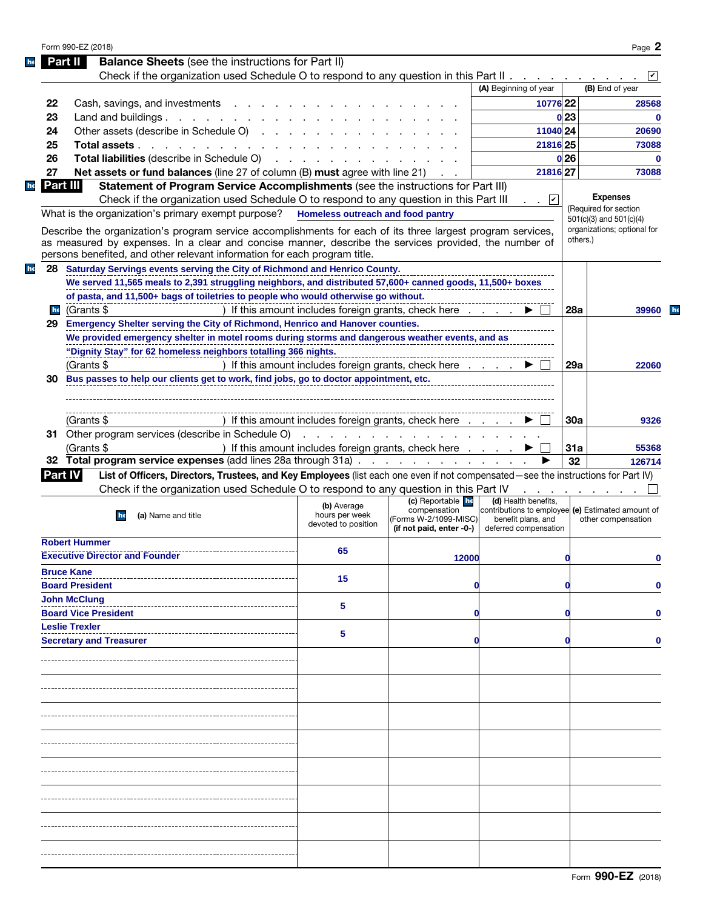|    | <b>Balance Sheets</b> (see the instructions for Part II)<br>Part II                                                               |                                       |                                                                              |                                                                           |                 |                                                  |
|----|-----------------------------------------------------------------------------------------------------------------------------------|---------------------------------------|------------------------------------------------------------------------------|---------------------------------------------------------------------------|-----------------|--------------------------------------------------|
|    | Check if the organization used Schedule O to respond to any question in this Part II.                                             |                                       |                                                                              |                                                                           |                 |                                                  |
|    |                                                                                                                                   |                                       |                                                                              | (A) Beginning of year                                                     |                 | (B) End of year                                  |
| 22 | Cash, savings, and investments                                                                                                    |                                       |                                                                              | 10776 22                                                                  |                 | 28568                                            |
| 23 | Land and buildings $\ldots$ $\ldots$ $\ldots$ $\ldots$                                                                            |                                       |                                                                              |                                                                           | 0 <sub>23</sub> | 0                                                |
| 24 | Other assets (describe in Schedule O)                                                                                             |                                       |                                                                              | 11040 24                                                                  |                 | 20690                                            |
| 25 | Total assets                                                                                                                      |                                       |                                                                              | 21816 25                                                                  |                 | 73088                                            |
|    |                                                                                                                                   |                                       |                                                                              |                                                                           |                 |                                                  |
| 26 | <b>Total liabilities</b> (describe in Schedule O)                                                                                 |                                       |                                                                              |                                                                           | 0 <sub>26</sub> | $\bf{0}$                                         |
| 27 | <b>Net assets or fund balances</b> (line 27 of column (B) must agree with line 21)                                                |                                       |                                                                              | 21816 27                                                                  |                 | 73088                                            |
|    | Part III<br>Statement of Program Service Accomplishments (see the instructions for Part III)                                      |                                       |                                                                              |                                                                           |                 |                                                  |
|    | Check if the organization used Schedule O to respond to any question in this Part III                                             |                                       |                                                                              | $\overline{\phantom{a}}$                                                  |                 | <b>Expenses</b>                                  |
|    | What is the organization's primary exempt purpose? Homeless outreach and food pantry                                              |                                       |                                                                              |                                                                           |                 | (Required for section<br>501(c)(3) and 501(c)(4) |
|    | Describe the organization's program service accomplishments for each of its three largest program services,                       |                                       |                                                                              |                                                                           |                 | organizations; optional for                      |
|    | as measured by expenses. In a clear and concise manner, describe the services provided, the number of                             |                                       |                                                                              |                                                                           | others.)        |                                                  |
|    | persons benefited, and other relevant information for each program title.                                                         |                                       |                                                                              |                                                                           |                 |                                                  |
|    | 28 Saturday Servings events serving the City of Richmond and Henrico County.                                                      |                                       |                                                                              |                                                                           |                 |                                                  |
|    |                                                                                                                                   |                                       |                                                                              |                                                                           |                 |                                                  |
|    | We served 11,565 meals to 2,391 struggling neighbors, and distributed 57,600+ canned goods, 11,500+ boxes                         |                                       |                                                                              |                                                                           |                 |                                                  |
|    | of pasta, and 11,500+ bags of toiletries to people who would otherwise go without.                                                |                                       |                                                                              |                                                                           |                 |                                                  |
| he | (Grants \$                                                                                                                        |                                       | ) If this amount includes foreign grants, check here                         |                                                                           | 28a             | 39960                                            |
| 29 | Emergency Shelter serving the City of Richmond, Henrico and Hanover counties.                                                     |                                       |                                                                              |                                                                           |                 |                                                  |
|    | We provided emergency shelter in motel rooms during storms and dangerous weather events, and as                                   |                                       |                                                                              |                                                                           |                 |                                                  |
|    | "Dignity Stay" for 62 homeless neighbors totalling 366 nights.                                                                    |                                       |                                                                              |                                                                           |                 |                                                  |
|    | (Grants \$                                                                                                                        |                                       | ) If this amount includes foreign grants, check here $\ldots$ $\blacksquare$ |                                                                           | 29a             | 22060                                            |
| 30 | Bus passes to help our clients get to work, find jobs, go to doctor appointment, etc.                                             |                                       |                                                                              |                                                                           |                 |                                                  |
|    |                                                                                                                                   |                                       |                                                                              |                                                                           |                 |                                                  |
|    |                                                                                                                                   |                                       |                                                                              |                                                                           |                 |                                                  |
|    |                                                                                                                                   |                                       |                                                                              |                                                                           |                 |                                                  |
|    | (Grants \$                                                                                                                        |                                       | If this amount includes foreign grants, check here                           |                                                                           | 30a             | 9326                                             |
|    | 31 Other program services (describe in Schedule O)                                                                                |                                       |                                                                              |                                                                           |                 |                                                  |
|    |                                                                                                                                   |                                       | .                                                                            |                                                                           |                 |                                                  |
|    | (Grants \$                                                                                                                        |                                       | ) If this amount includes foreign grants, check here                         |                                                                           | 31a             |                                                  |
|    | 32 Total program service expenses (add lines 28a through 31a)                                                                     |                                       |                                                                              |                                                                           | 32              |                                                  |
|    | <b>Part IV</b>                                                                                                                    |                                       |                                                                              |                                                                           |                 |                                                  |
|    | List of Officers, Directors, Trustees, and Key Employees (list each one even if not compensated—see the instructions for Part IV) |                                       |                                                                              |                                                                           |                 |                                                  |
|    | Check if the organization used Schedule O to respond to any question in this Part IV                                              |                                       |                                                                              |                                                                           |                 |                                                  |
|    |                                                                                                                                   | (b) Average                           | (c) Reportable he<br>compensation                                            | (d) Health benefits,<br>contributions to employee (e) Estimated amount of |                 |                                                  |
|    | (a) Name and title<br>he                                                                                                          | hours per week<br>devoted to position | (Forms W-2/1099-MISC)                                                        | benefit plans, and                                                        |                 | other compensation                               |
|    |                                                                                                                                   |                                       | (if not paid, enter -0-)                                                     | deferred compensation                                                     |                 |                                                  |
|    | <b>Robert Hummer</b>                                                                                                              |                                       |                                                                              |                                                                           |                 |                                                  |
|    | <b>Executive Director and Founder</b>                                                                                             | 65                                    | 12000                                                                        |                                                                           | O               |                                                  |
|    | <b>Bruce Kane</b>                                                                                                                 |                                       |                                                                              |                                                                           |                 |                                                  |
|    | <b>Board President</b>                                                                                                            | 15                                    | O                                                                            |                                                                           |                 |                                                  |
|    |                                                                                                                                   |                                       |                                                                              |                                                                           |                 | 55368<br>126714<br>0                             |
|    | <b>John McClung</b>                                                                                                               | 5                                     |                                                                              |                                                                           |                 |                                                  |
|    | <b>Board Vice President</b>                                                                                                       |                                       | O                                                                            |                                                                           |                 |                                                  |
|    | <b>Leslie Trexler</b>                                                                                                             | 5                                     |                                                                              |                                                                           |                 |                                                  |
|    | <b>Secretary and Treasurer</b>                                                                                                    |                                       |                                                                              |                                                                           |                 |                                                  |
|    |                                                                                                                                   |                                       |                                                                              |                                                                           |                 |                                                  |
|    |                                                                                                                                   |                                       |                                                                              |                                                                           |                 |                                                  |
|    |                                                                                                                                   |                                       |                                                                              |                                                                           |                 |                                                  |
|    |                                                                                                                                   |                                       |                                                                              |                                                                           |                 |                                                  |
|    |                                                                                                                                   |                                       |                                                                              |                                                                           |                 |                                                  |
|    |                                                                                                                                   |                                       |                                                                              |                                                                           |                 |                                                  |
|    |                                                                                                                                   |                                       |                                                                              |                                                                           |                 |                                                  |
|    |                                                                                                                                   |                                       |                                                                              |                                                                           |                 |                                                  |
|    |                                                                                                                                   |                                       |                                                                              |                                                                           |                 |                                                  |
|    |                                                                                                                                   |                                       |                                                                              |                                                                           |                 |                                                  |
|    |                                                                                                                                   |                                       |                                                                              |                                                                           |                 |                                                  |
|    |                                                                                                                                   |                                       |                                                                              |                                                                           |                 |                                                  |
|    |                                                                                                                                   |                                       |                                                                              |                                                                           |                 |                                                  |
|    |                                                                                                                                   |                                       |                                                                              |                                                                           |                 |                                                  |
|    |                                                                                                                                   |                                       |                                                                              |                                                                           |                 |                                                  |
|    |                                                                                                                                   |                                       |                                                                              |                                                                           |                 |                                                  |
|    |                                                                                                                                   |                                       |                                                                              |                                                                           |                 |                                                  |
|    |                                                                                                                                   |                                       |                                                                              |                                                                           |                 |                                                  |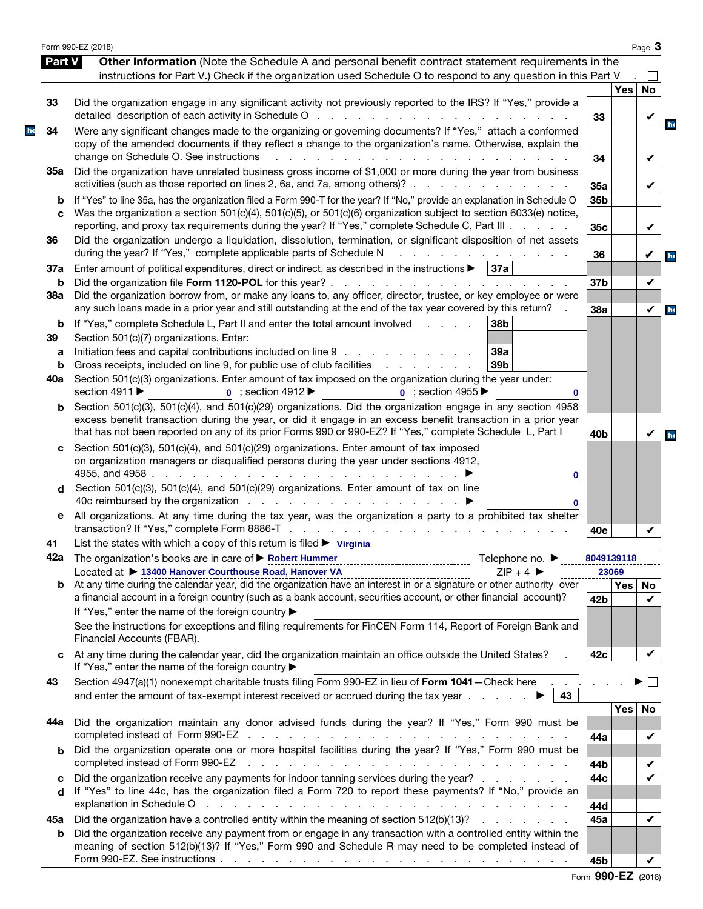|               | Form 990-EZ (2018)                                                                                                                                                                                                                                                                                                                                                                                                                    |                     |            | Page 3       |
|---------------|---------------------------------------------------------------------------------------------------------------------------------------------------------------------------------------------------------------------------------------------------------------------------------------------------------------------------------------------------------------------------------------------------------------------------------------|---------------------|------------|--------------|
| <b>Part V</b> | Other Information (Note the Schedule A and personal benefit contract statement requirements in the<br>instructions for Part V.) Check if the organization used Schedule O to respond to any question in this Part V                                                                                                                                                                                                                   |                     |            |              |
|               |                                                                                                                                                                                                                                                                                                                                                                                                                                       |                     | <b>Yes</b> | <b>No</b>    |
| 33            | Did the organization engage in any significant activity not previously reported to the IRS? If "Yes," provide a                                                                                                                                                                                                                                                                                                                       | 33                  |            | V            |
| 34            | Were any significant changes made to the organizing or governing documents? If "Yes," attach a conformed<br>copy of the amended documents if they reflect a change to the organization's name. Otherwise, explain the                                                                                                                                                                                                                 |                     |            |              |
| 35а           | change on Schedule O. See instructions<br>the contract of the contract of the contract of the contract of the contract of the contract of the contract of<br>Did the organization have unrelated business gross income of \$1,000 or more during the year from business                                                                                                                                                               | 34                  |            | V            |
| b             | activities (such as those reported on lines 2, 6a, and 7a, among others)?<br>If "Yes" to line 35a, has the organization filed a Form 990-T for the year? If "No," provide an explanation in Schedule O                                                                                                                                                                                                                                | 35a<br>35b          |            | V            |
| C             | Was the organization a section 501(c)(4), 501(c)(5), or 501(c)(6) organization subject to section 6033(e) notice,<br>reporting, and proxy tax requirements during the year? If "Yes," complete Schedule C, Part III                                                                                                                                                                                                                   | 35c                 |            | V            |
| 36            | Did the organization undergo a liquidation, dissolution, termination, or significant disposition of net assets<br>during the year? If "Yes," complete applicable parts of Schedule N                                                                                                                                                                                                                                                  | 36                  |            | V            |
| 37a<br>b      | Enter amount of political expenditures, direct or indirect, as described in the instructions ><br> 37a                                                                                                                                                                                                                                                                                                                                | 37b                 |            | V            |
| 38a           | Did the organization borrow from, or make any loans to, any officer, director, trustee, or key employee or were<br>any such loans made in a prior year and still outstanding at the end of the tax year covered by this return?                                                                                                                                                                                                       | 38a                 |            | $\checkmark$ |
| b<br>39       | If "Yes," complete Schedule L, Part II and enter the total amount involved<br>38b<br>and a state<br>Section 501(c)(7) organizations. Enter:                                                                                                                                                                                                                                                                                           |                     |            |              |
| a<br>b        | Initiation fees and capital contributions included on line 9<br>39a<br>39 <sub>b</sub><br>Gross receipts, included on line 9, for public use of club facilities<br>and a state of the state                                                                                                                                                                                                                                           |                     |            |              |
| 40a           | Section 501(c)(3) organizations. Enter amount of tax imposed on the organization during the year under:<br>section 4911 ▶<br>$\bullet$ ; section 4912<br><b>0</b> : section 4955<br>0                                                                                                                                                                                                                                                 |                     |            |              |
| b             | Section 501(c)(3), 501(c)(4), and 501(c)(29) organizations. Did the organization engage in any section 4958<br>excess benefit transaction during the year, or did it engage in an excess benefit transaction in a prior year<br>that has not been reported on any of its prior Forms 990 or 990-EZ? If "Yes," complete Schedule L, Part I                                                                                             | 40 <sub>b</sub>     |            | V            |
| c             | Section 501(c)(3), 501(c)(4), and 501(c)(29) organizations. Enter amount of tax imposed<br>on organization managers or disqualified persons during the year under sections 4912,<br>4955, and 4958.<br>and the contract of the contract of the contract of<br>0                                                                                                                                                                       |                     |            |              |
| d             | Section 501(c)(3), 501(c)(4), and 501(c)(29) organizations. Enter amount of tax on line<br>0                                                                                                                                                                                                                                                                                                                                          |                     |            |              |
| е             | All organizations. At any time during the tax year, was the organization a party to a prohibited tax shelter                                                                                                                                                                                                                                                                                                                          | 40e                 |            |              |
| 41            | List the states with which a copy of this return is filed $\triangleright$ Virginia                                                                                                                                                                                                                                                                                                                                                   |                     |            |              |
|               | 42a The organization's books are in care of ▶ Robert Hummer<br>Telephone no. $\blacktriangleright$<br>-------------------------------------<br>Located at ▶ 13400 Hanover Courthouse Road, Hanover VA<br>$ZIP + 4$                                                                                                                                                                                                                    | 8049139118<br>23069 |            |              |
| b             | At any time during the calendar year, did the organization have an interest in or a signature or other authority over<br>a financial account in a foreign country (such as a bank account, securities account, or other financial account)?<br>If "Yes," enter the name of the foreign country ▶                                                                                                                                      | 42b                 | Yes   No   | ✓            |
|               | See the instructions for exceptions and filing requirements for FinCEN Form 114, Report of Foreign Bank and<br>Financial Accounts (FBAR).                                                                                                                                                                                                                                                                                             |                     |            |              |
| C             | At any time during the calendar year, did the organization maintain an office outside the United States?<br>If "Yes," enter the name of the foreign country ▶                                                                                                                                                                                                                                                                         | 42c                 |            |              |
| 43            | Section 4947(a)(1) nonexempt charitable trusts filing Form 990-EZ in lieu of Form 1041 - Check here<br>43                                                                                                                                                                                                                                                                                                                             |                     |            |              |
| 44а           | Did the organization maintain any donor advised funds during the year? If "Yes," Form 990 must be                                                                                                                                                                                                                                                                                                                                     | 44a                 | <b>Yes</b> | No<br>V      |
| b             | Did the organization operate one or more hospital facilities during the year? If "Yes," Form 990 must be<br>completed instead of Form 990-EZ<br>the contract of the contract of the contract of the contract of the contract of                                                                                                                                                                                                       |                     |            |              |
| c<br>d        | Did the organization receive any payments for indoor tanning services during the year?<br>If "Yes" to line 44c, has the organization filed a Form 720 to report these payments? If "No," provide an<br>explanation in Schedule O response to the contract of the contract of the contract of the contract of the contract of the contract of the contract of the contract of the contract of the contract of the contract of the cont | 44b<br>44c          |            | V<br>V       |
| 45а           | Did the organization have a controlled entity within the meaning of section 512(b)(13)?<br>Did the organization receive any payment from or engage in any transaction with a controlled entity within the                                                                                                                                                                                                                             | 44d<br>45a          |            | V            |
| b             | meaning of section 512(b)(13)? If "Yes," Form 990 and Schedule R may need to be completed instead of                                                                                                                                                                                                                                                                                                                                  | 45b                 |            |              |

|  | Form 990-EZ (2018) |  |
|--|--------------------|--|
|--|--------------------|--|